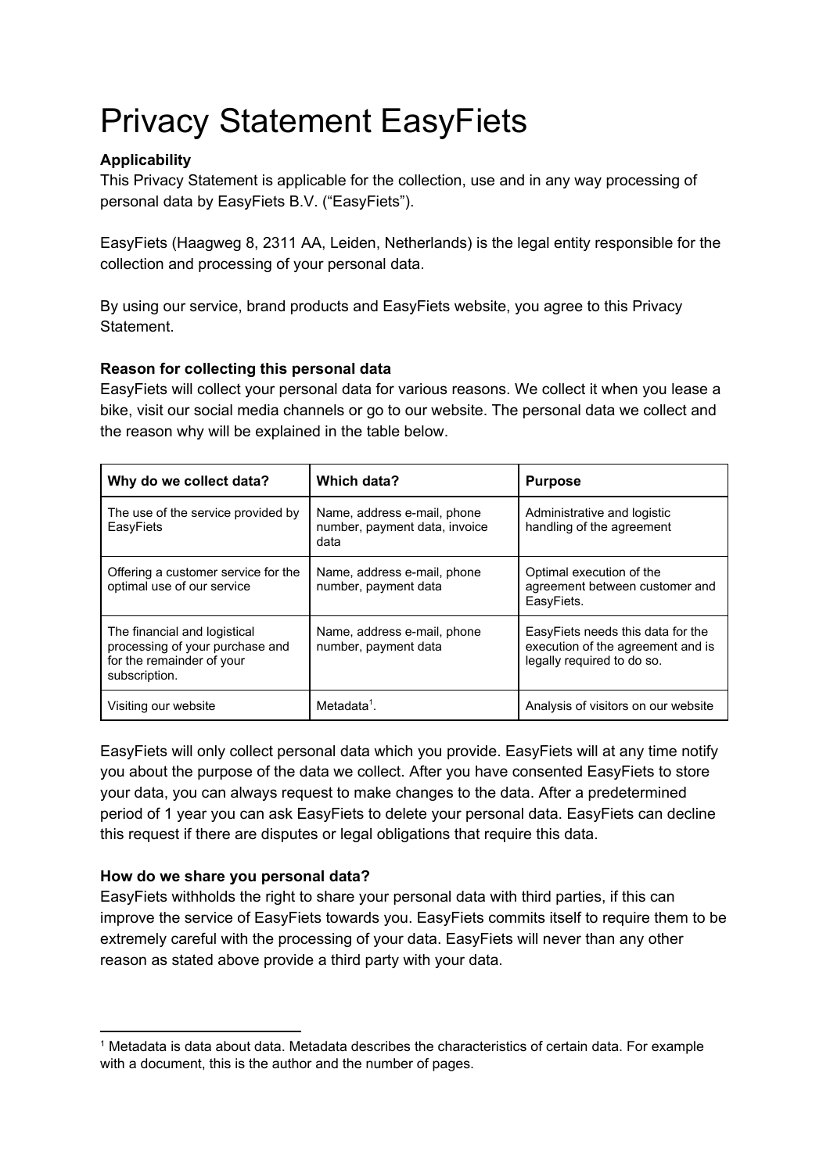# Privacy Statement EasyFiets

# **Applicability**

This Privacy Statement is applicable for the collection, use and in any way processing of personal data by EasyFiets B.V. ("EasyFiets").

EasyFiets (Haagweg 8, 2311 AA, Leiden, Netherlands) is the legal entity responsible for the collection and processing of your personal data.

By using our service, brand products and EasyFiets website, you agree to this Privacy Statement.

# **Reason for collecting this personal data**

EasyFiets will collect your personal data for various reasons. We collect it when you lease a bike, visit our social media channels or go to our website. The personal data we collect and the reason why will be explained in the table below.

| Why do we collect data?                                                                                       | Which data?                                                          | <b>Purpose</b>                                                                                       |
|---------------------------------------------------------------------------------------------------------------|----------------------------------------------------------------------|------------------------------------------------------------------------------------------------------|
| The use of the service provided by<br>EasyFiets                                                               | Name, address e-mail, phone<br>number, payment data, invoice<br>data | Administrative and logistic<br>handling of the agreement                                             |
| Offering a customer service for the<br>optimal use of our service                                             | Name, address e-mail, phone<br>number, payment data                  | Optimal execution of the<br>agreement between customer and<br>EasyFiets.                             |
| The financial and logistical<br>processing of your purchase and<br>for the remainder of your<br>subscription. | Name, address e-mail, phone<br>number, payment data                  | EasyFiets needs this data for the<br>execution of the agreement and is<br>legally required to do so. |
| Visiting our website                                                                                          | Metadata <sup>1</sup> .                                              | Analysis of visitors on our website                                                                  |

EasyFiets will only collect personal data which you provide. EasyFiets will at any time notify you about the purpose of the data we collect. After you have consented EasyFiets to store your data, you can always request to make changes to the data. After a predetermined period of 1 year you can ask EasyFiets to delete your personal data. EasyFiets can decline this request if there are disputes or legal obligations that require this data.

# **How do we share you personal data?**

EasyFiets withholds the right to share your personal data with third parties, if this can improve the service of EasyFiets towards you. EasyFiets commits itself to require them to be extremely careful with the processing of your data. EasyFiets will never than any other reason as stated above provide a third party with your data.

<sup>1</sup> Metadata is data about data. Metadata describes the characteristics of certain data. For example with a document, this is the author and the number of pages.